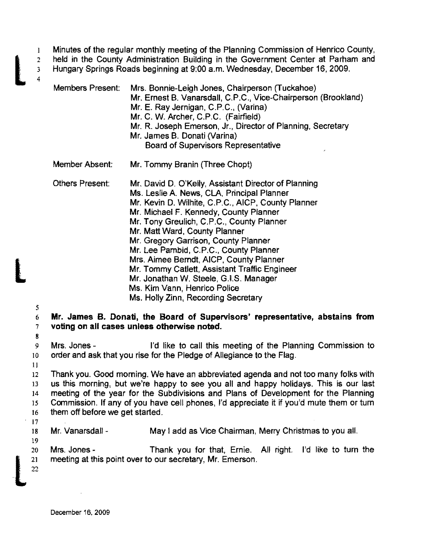- Minutes of the regular monthly meeting of the Planning Commission of Henrico County,
- 2 held in the County Administration Building in the Government Center at Parham and
- L 3 Hungary Springs Roads beginning at 9:00 a.m. Wednesday, December 16, 2009.
	- 4

|  |                                            | <b>Members Present:</b>                                                                                                                                                                                                                                                                                                                                                                         | Mrs. Bonnie-Leigh Jones, Chairperson (Tuckahoe)<br>Mr. Ernest B. Vanarsdall, C.P.C., Vice-Chairperson (Brookland)<br>Mr. E. Ray Jernigan, C.P.C., (Varina)<br>Mr. C. W. Archer, C.P.C. (Fairfield)<br>Mr. R. Joseph Emerson, Jr., Director of Planning, Secretary<br>Mr. James B. Donati (Varina)<br><b>Board of Supervisors Representative</b>                                                                                                                                                                                                                                 |  |  |  |
|--|--------------------------------------------|-------------------------------------------------------------------------------------------------------------------------------------------------------------------------------------------------------------------------------------------------------------------------------------------------------------------------------------------------------------------------------------------------|---------------------------------------------------------------------------------------------------------------------------------------------------------------------------------------------------------------------------------------------------------------------------------------------------------------------------------------------------------------------------------------------------------------------------------------------------------------------------------------------------------------------------------------------------------------------------------|--|--|--|
|  |                                            | Member Absent:                                                                                                                                                                                                                                                                                                                                                                                  | Mr. Tommy Branin (Three Chopt)                                                                                                                                                                                                                                                                                                                                                                                                                                                                                                                                                  |  |  |  |
|  | 5                                          | <b>Others Present:</b>                                                                                                                                                                                                                                                                                                                                                                          | Mr. David D. O'Kelly, Assistant Director of Planning<br>Ms. Leslie A. News, CLA, Principal Planner<br>Mr. Kevin D. Wilhite, C.P.C., AICP, County Planner<br>Mr. Michael F. Kennedy, County Planner<br>Mr. Tony Greulich, C.P.C., County Planner<br>Mr. Matt Ward, County Planner<br>Mr. Gregory Garrison, County Planner<br>Mr. Lee Pambid, C.P.C., County Planner<br>Mrs. Aimee Berndt, AICP, County Planner<br>Mr. Tommy Catlett, Assistant Traffic Engineer<br>Mr. Jonathan W. Steele, G.I.S. Manager<br>Ms. Kim Vann, Henrico Police<br>Ms. Holly Zinn, Recording Secretary |  |  |  |
|  | 6<br>7<br>8                                | Mr. James B. Donati, the Board of Supervisors' representative, abstains from<br>voting on all cases unless otherwise noted.                                                                                                                                                                                                                                                                     |                                                                                                                                                                                                                                                                                                                                                                                                                                                                                                                                                                                 |  |  |  |
|  | 9<br>10<br>11                              | Mrs. Jones -                                                                                                                                                                                                                                                                                                                                                                                    | I'd like to call this meeting of the Planning Commission to<br>order and ask that you rise for the Pledge of Allegiance to the Flag.                                                                                                                                                                                                                                                                                                                                                                                                                                            |  |  |  |
|  | 12<br>13<br>$\mathbf{I}$<br>15<br>16<br>17 | Thank you. Good morning. We have an abbreviated agenda and not too many folks with<br>us this morning, but we're happy to see you all and happy holidays. This is our last<br>meeting of the year for the Subdivisions and Plans of Development for the Planning<br>Commission. If any of you have cell phones, I'd appreciate it if you'd mute them or turn<br>them off before we get started. |                                                                                                                                                                                                                                                                                                                                                                                                                                                                                                                                                                                 |  |  |  |
|  | 18                                         | Mr. Vanarsdall -                                                                                                                                                                                                                                                                                                                                                                                | May I add as Vice Chairman, Merry Christmas to you all.                                                                                                                                                                                                                                                                                                                                                                                                                                                                                                                         |  |  |  |
|  | 19<br>20<br>21<br>22                       | Mrs. Jones -<br>Thank you for that, Ernie. All right. I'd like to turn the<br>meeting at this point over to our secretary, Mr. Emerson.                                                                                                                                                                                                                                                         |                                                                                                                                                                                                                                                                                                                                                                                                                                                                                                                                                                                 |  |  |  |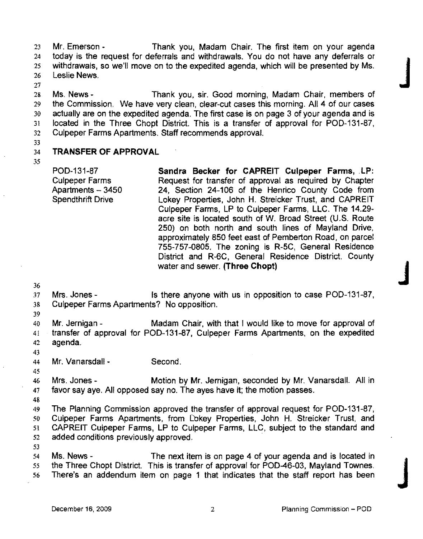23 Mr. Emerson - Thank you, Madam Chair. The first item on your agenda 24 today is the request for deferrals and withdrawals. You do not have any deferrals or 25 withdrawals, so we'll move on to the expedited agenda, which will be presented by Ms. 26 Leslie News. Loday is the request for deferrals and withdrawals. You do not have any deferrals of<br>25 withdrawals, so we'll move on to the expedited agenda, which will be presented by Ms.<br>26 Leslie News.

Ms. News - Thank you, sir. Good morning, Madam Chair, members of the Commission. We have very clean, clear-cut cases this morning. All 4 of our cases actually are on the expedited agenda. The first case is on page 3 of your agenda and is located in the Three Chopt District. This is a transfer of approval for POD-131-87, Culpeper Farms Apartments. Staff recommends approval.

33

### 34 TRANSFER OF APPROVAL

35

POD-131-87 Culpeper Farms Apartments - 3450 Spendthrift Drive

Sandra Becker for CAPREIT Culpeper Farms, . LP: Request for transfer of approval as required by Chapter 24, Section 24-106 of the Henrico County Code from Lokey Properties, John H. Streicker Trust, and CAPREIT Culpeper Farms, LP to Culpeper Farms, LLC. The 14.29 acre site is located south of W. Broad Street (U.S. Route 250) on both north and south lines of Mayland Drive, approximately 850 feet east of Pemberton Road, on parcel 755-757-0805. The zoning is R-5C, General Residence District and R-6C, General Residence District. County water and sewer. (Three Chopt) j

36

37 Mrs. Jones Is there anyone with us in opposition to case POD-131-87, 38 Culpeper Farms Apartments? No opposition.

39

40 Mr. Jernigan - Madam Chair, with that I would like to move for approval of 41 transfer of approval for POD-131-87, Culpeper Farms Apartments, on the expedited 42 agenda.

43

44 Mr. Vanarsdall - Second.

46 Mrs. Jones - Motion by Mr. Jernigan, seconded by Mr. Vanarsdall. All in 47 favor say aye. All opposed say no. The ayes have it; the motion passes.

48

45

The Planning Commission approved the transfer of approval request for POD-131-87, Culpeper Farms Apartments, from [Okey Properties, John H. Streicker Trust, and CAPREIT Culpeper Farms, LP to Culpeper Farms, LLC, subject to the standard and added conditions previously approved. .

53<br>54 Ms. News - The next item is on page 4 of your agenda and is located in<br>55 the Three Chopt District. This is transfer of approval for POD-46-03, Mayland Townes. 56 There's an addendum item on page 1 that indicates that the staff report has been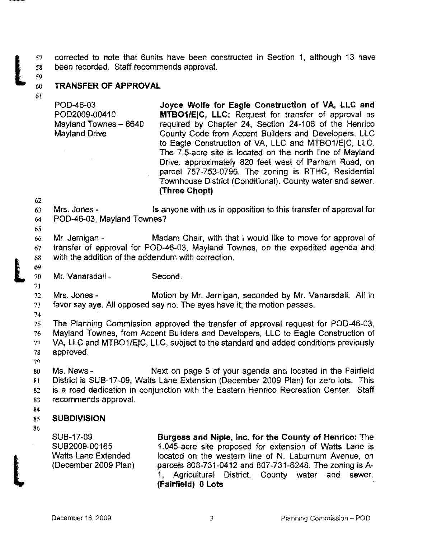orrected to note that 6units have been constructed in Section 1, although 13 have<br>
the been recorded. Staff recommends approval.<br>
60 TRANSFER OF APPROVAL been recorded. Staff recommends approval.

## 59

### TRANSFER OF APPROVAL

61

POD-46-03 POD2009-00410 Mayland Townes - 8640 Mayland Drive

Joyce Wolfe for Eagle Construction of VA, LLC and MTBO1/EIC, LLC: Request for transfer of approval as required by Chapter 24, Section 24-106 of the Henrico County Code from Accent Builders and Developers, LLC to Eagle Construction of VA, LLC and MTBO1/EIC, LLC. The 7.5-acre site is located on the north line of Mayland Drive, approximately 820 feet west of Parham Road, on parcel 757-753-0796. The zoning is RTHC, Residential Townhouse District (Conditional). County water and sewer. (Three Chopt)

63 Mrs. Jones Is anyone with us in opposition to this transfer of approval for 64 POD-46-03, Mayland Townes?

65

69

71

62

Mr. Jernigan· Madam Chair, with that I would like to move for approval of transfer of approval for POD-46·03, Mayland Townes, on the expedited agenda and **Little Contract Contract Contract Contract Contract Contract Contract Contract Contract Contract Contract Contract Contract Contract Contract Contract Contract Contract Contract Contract Contract Contract Contract Contrac** with the addition of the addendum with correction.

70 Mr. Vanarsdall - Second.

72 Mrs. Jones· Motion by Mr. Jernigan, seconded by Mr. Vanarsdall. All in 73 favor say aye. All opposed say no. The ayes have it; the motion passes.

74

The Planning Commission approved the transfer of approval request for POD-46-03, Mayland Townes, from Accent Builders and Developers, LLC to Eagle Construction of VA, LLC and MTB01/EIC, LLC, subject to the standard and added conditions previously approved. 79

Ms. News - Next on page 5 of your agenda and located in the Fairfield 81 District is SUB-17-09, Watts Lane Extension (December 2009 Plan) for zero lots. This is a road dedication in conjunction with the Eastern Henrico Recreation Center. Staff recommends approval.

84

### 85 SUBDIVISION

86

l

SUB-17-09 SUB2009-00165 Watts Lane Extended (December 2009 Plan)

Burgess and Niple, Inc. for the County of Henrico: The 1.045-acre site proposed for extension of Watts Lane is located on the western line of N. Laburnum Avenue, on parcels 808-731-0412 and 807-731-6248. The zoning is A-1, Agricultural District. County water and sewer. (Fairfield) 0 Lots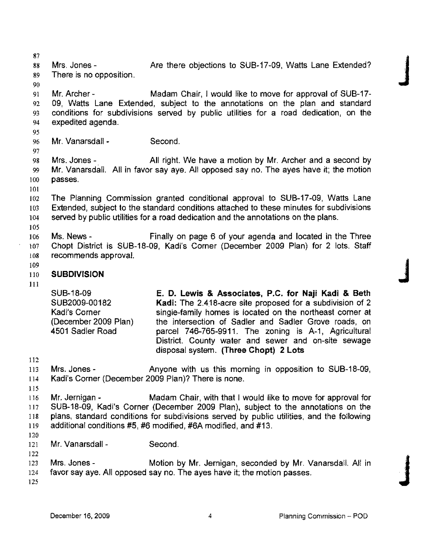87<br>88 Mrs. Jones - Are there objections to SUB-17-09, Watts Lane Extended?<br>90<br>81 Mr. Archar - Madam Chair, Luguld like to mayo for annoual of SUB-17 89 There is no opposition. 90 91 Mr. Archer - Madam Chair, I would like to move for approval of SUB-17-92 09, Watts Lane Extended, subject to the annotations on the plan and standard 93 conditions for subdivisions served by public utilities for a road dedication, on the 94 expedited agenda. 95 96 Mr. Vanarsdall - Second. 97 98 Mrs. Jones - All right. We have a motion by Mr. Archer and a second by 99 Mr. Vanarsdall. All in favor say aye. All opposed say no. The ayes have it; the motion 100 passes. IOJ 102 The Planning Commission granted conditional approval to SUB-17 -09, Watts Lane 103 Extended, subject to the standard conditions attached to these minutes for subdivisions 104 served by public utilities for a road dedication and the annotations on the plans. 105 106 Ms. News - Finally on page 6 of your agenda and located in the Three 107 Chopt District is SUB-18-09, Kadi's Comer (December 2009 Plan) for 2 lots. Staff 108 recommends approval. 109 110 SUBDIVISION 111 SUB-18-09 SUB2009-00182 Kadi's Comer (December 2009 Plan) 4501 Sadler Road 112  $113$  Mrs. Jones -E. D. Lewis & Associates, P.C. **for** Naji Kadi & Beth Kadi: The 2.418-acre site proposed for a subdivision of 2. single-family homes is located on the northeast comer at the intersection of Sadler and Sadler Grove roads, on parcel 746-765-9911. The zoning is A-1, Agricultural District. County water and sewer and on-site sewage disposal system. (Three Chopt) 2 Lots Anyone with us this morning in opposition to SUB-18-09, 114 Kadi's Corner (December 2009 Plan)? There is none. 115 116 Mr. Jernigan - Madam Chair, with that I would like to move for approval for 117 SUB-18-09, Kadi's Corner (December 2009 Plan). subject to the annotations on the ll8 plans. standard conditions for subdivisions served by public utilities. and the following 119 additional conditions #5, #6 modified, #6A modified, and #13. 120 121 Mr. Vanarsdall - Second. 122 123 Mrs. Jones - Motion by Mr. Jernigan, seconded by Mr. Vanarsdall. All in 124 favor say ave. All opposed say no. The aves have it: the motion passes. favor say aye. All opposed say no. The ayes have it; the motion passes. 125

j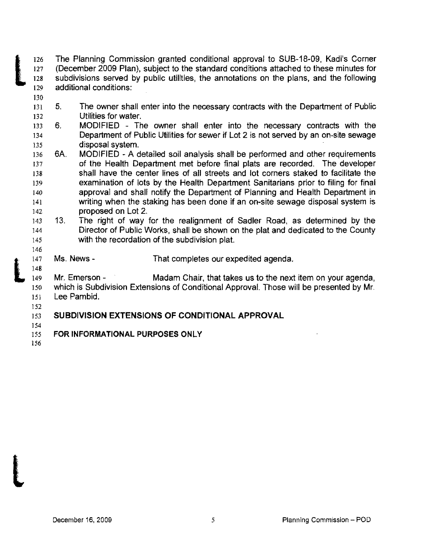- L The Planning Commission granted conditional approval to SUB-18-09, Kadi's Corner (December 2009 Plan), subject to the standard conditions attached to these minutes for subdivisions served by public utilities, the annotations on the plans, and the following additional conditions:
	- 5. The owner shall enter into the necessary contracts with the Department of Public Utilities for water.
	- 6. MODIFIED The owner shall enter into the necessary contracts with the Department of Public Utilities for sewer if Lot 2 is not served by an on-site sewage disposal system.
	- 6A. MODIFIED A detailed soil analysis shall be performed and other requirements of the Health Department met before final plats are recorded. The developer shall have the center lines of all streets and lot corners staked to facilitate the examination of lots by the Health Department Sanitarians prior to filing for final approval and shall notify the Department of Planning and Health Department in writing when the staking has been done if an on-site sewage disposal system is proposed on Lot 2.
	- 13. The right of way for the realignment of Sadler Road, as determined by the Director of Public Works, shall be shown on the plat and dedicated to the County with the recordation of the subdivision plat.
		-

- 147 Ms. News That completes our expedited agenda.<br>
148 Mr. Emerson Madam Chair, that takes us to the next item on your agenda,<br>
150 which is Subdivision Extensions of Conditional Approval. Those will be presented by Mr Mr. Emerson - Madam Chair, that takes us to the next item on your agenda, 151 Lee Pambid.
	-

- SUBDIVISION EXTENSIONS OF CONDITIONAL APPROVAL
- 
- FOR INFORMATIONAL PURPOSES ONLY

l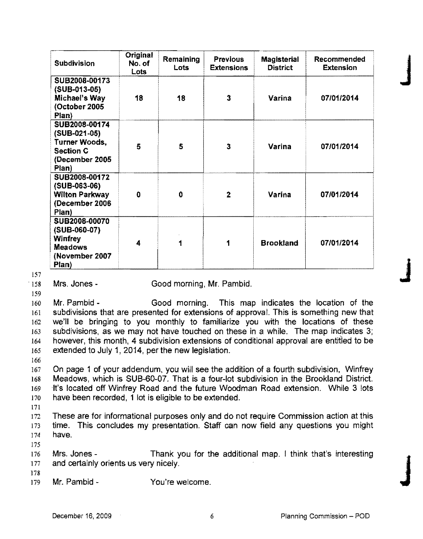| <b>Subdivision</b>                                                                                     | Original<br>No. of<br>Lots | Remaining<br>Lots       | <b>Previous</b><br><b>Extensions</b> | <b>Magisterial</b><br><b>District</b> | Recommended<br><b>Extension</b> |
|--------------------------------------------------------------------------------------------------------|----------------------------|-------------------------|--------------------------------------|---------------------------------------|---------------------------------|
| SUB2008-00173<br>(SUB-013-05)<br>Michael's Way<br>(October 2005<br>Plan)                               | 18                         | 18                      | $\mathbf{3}$                         | Varina                                | 07/01/2014                      |
| SUB2008-00174<br>$(SUB-021-05)$<br><b>Turner Woods,</b><br><b>Section C</b><br>(December 2005<br>Plan) | 5                          | 5                       | 3                                    | Varina                                | 07/01/2014                      |
| SUB2008-00172<br>$(SUB-063-06)$<br><b>Wilton Parkway</b><br>(December 2006)<br>Plan                    | $\mathbf 0$                | $\bf{0}$                | $\overline{2}$                       | Varina                                | 07/01/2014                      |
| SUB2008-00070<br>$(SUB-060-07)$<br>Winfrey<br><b>Meadows</b><br>(November 2007)<br>Plan)               | 4                          | $\overline{\mathbf{1}}$ | 1                                    | <b>Brookland</b>                      | 07/01/2014                      |

159

Mr. Pambid - Good morning. This map indicates the location of the subdivisions that are presented for extensions of approval. This is something new that we'll be bringing to you monthly to familiarize you with the locations of these subdivisions, as we may not have touched on these in a while. The map indicates 3; 164 however, this month, 4 subdivision extensions of conditional approval are entitled to be extended to July 1, 2014, per the new legislation.

166

On page 1 of your addendum, you will see the addition of a fourth subdivision, Winfrey 168 Meadows, which is SUB-60-07. That is a four-lot subdivision in the Brookland District. It's located off Winfrey Road and the future Woodman Road extension. While 3 lots have been recorded, 1 lot is eligible to be extended.

171

172 These are for informational purposes only and do not require Commission action at this 173 time. This concludes my presentation. Staff can now field any questions you might 174 have.

175

176 Mrs. Jones - Thank you for the additional map. I think that's interesting 177 and certainly orients us very nicely. 178 Mrs. Johnes - Thank you for the additional map. I think that's interesting<br>177 and certainly orients us very nicely.<br>178 Mr. Pambid - You're welcome.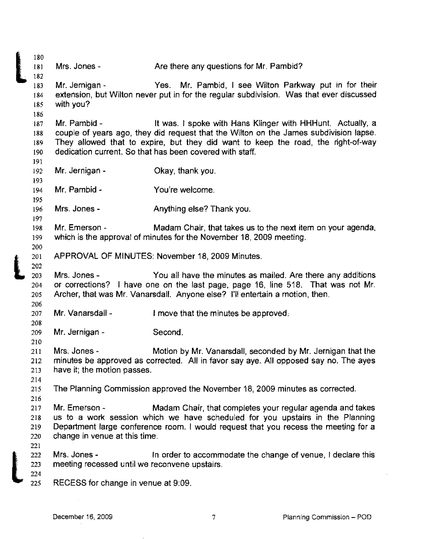|  | 180<br>181 | Mrs. Jones -                                                                                                        | Are there any questions for Mr. Pambid?                                                 |  |  |  |  |
|--|------------|---------------------------------------------------------------------------------------------------------------------|-----------------------------------------------------------------------------------------|--|--|--|--|
|  | 182        |                                                                                                                     |                                                                                         |  |  |  |  |
|  | 183        | Mr. Jernigan -                                                                                                      | Yes. Mr. Pambid, I see Wilton Parkway put in for their                                  |  |  |  |  |
|  | 184        |                                                                                                                     | extension, but Wilton never put in for the regular subdivision. Was that ever discussed |  |  |  |  |
|  | 185        | with you?                                                                                                           |                                                                                         |  |  |  |  |
|  | 186        |                                                                                                                     |                                                                                         |  |  |  |  |
|  | 187        | Mr. Pambid -                                                                                                        | It was. I spoke with Hans Klinger with HHHunt. Actually, a                              |  |  |  |  |
|  | 188        |                                                                                                                     | couple of years ago, they did request that the Wilton on the James subdivision lapse.   |  |  |  |  |
|  | 189        | They allowed that to expire, but they did want to keep the road, the right-of-way                                   |                                                                                         |  |  |  |  |
|  | 190        |                                                                                                                     | dedication current. So that has been covered with staff.                                |  |  |  |  |
|  | 191        |                                                                                                                     |                                                                                         |  |  |  |  |
|  | 192        | Mr. Jernigan -                                                                                                      | Okay, thank you.                                                                        |  |  |  |  |
|  | 193        |                                                                                                                     |                                                                                         |  |  |  |  |
|  | 194        | Mr. Pambid -                                                                                                        | You're welcome.                                                                         |  |  |  |  |
|  | 195        |                                                                                                                     |                                                                                         |  |  |  |  |
|  | 196        | Mrs. Jones -                                                                                                        | Anything else? Thank you.                                                               |  |  |  |  |
|  | 197        |                                                                                                                     |                                                                                         |  |  |  |  |
|  | 198        | Mr. Emerson -                                                                                                       | Madam Chair, that takes us to the next item on your agenda,                             |  |  |  |  |
|  | 199        |                                                                                                                     | which is the approval of minutes for the November 18, 2009 meeting.                     |  |  |  |  |
|  | 200        |                                                                                                                     |                                                                                         |  |  |  |  |
|  | 201        |                                                                                                                     | APPROVAL OF MINUTES: November 18, 2009 Minutes.                                         |  |  |  |  |
|  | 202        |                                                                                                                     |                                                                                         |  |  |  |  |
|  | 203        | Mrs. Jones -                                                                                                        | You all have the minutes as mailed. Are there any additions                             |  |  |  |  |
|  | 204        |                                                                                                                     | or corrections? I have one on the last page, page 16, line 518. That was not Mr.        |  |  |  |  |
|  | 205        |                                                                                                                     | Archer, that was Mr. Vanarsdall. Anyone else? I'll entertain a motion, then.            |  |  |  |  |
|  | 206        |                                                                                                                     |                                                                                         |  |  |  |  |
|  | 207        | Mr. Vanarsdall -                                                                                                    | I move that the minutes be approved.                                                    |  |  |  |  |
|  | 208        | Mr. Jernigan -                                                                                                      | Second.                                                                                 |  |  |  |  |
|  | 209<br>210 |                                                                                                                     |                                                                                         |  |  |  |  |
|  | 211        | Mrs. Jones -                                                                                                        | Motion by Mr. Vanarsdall, seconded by Mr. Jernigan that the                             |  |  |  |  |
|  | 212        |                                                                                                                     |                                                                                         |  |  |  |  |
|  | 213        | minutes be approved as corrected. All in favor say aye. All opposed say no. The ayes<br>have it; the motion passes. |                                                                                         |  |  |  |  |
|  | 214        |                                                                                                                     |                                                                                         |  |  |  |  |
|  | 215        |                                                                                                                     | The Planning Commission approved the November 18, 2009 minutes as corrected.            |  |  |  |  |
|  | 216        |                                                                                                                     |                                                                                         |  |  |  |  |
|  | 217        | Mr. Emerson -                                                                                                       | Madam Chair, that completes your regular agenda and takes                               |  |  |  |  |
|  | 218        |                                                                                                                     | us to a work session which we have scheduled for you upstairs in the Planning           |  |  |  |  |
|  | 219        | Department large conference room. I would request that you recess the meeting for a                                 |                                                                                         |  |  |  |  |
|  | 220        | change in venue at this time.                                                                                       |                                                                                         |  |  |  |  |
|  | 221        |                                                                                                                     |                                                                                         |  |  |  |  |
|  | 222        | Mrs. Jones -                                                                                                        | In order to accommodate the change of venue, I declare this                             |  |  |  |  |
|  | 223        | meeting recessed until we reconvene upstairs.                                                                       |                                                                                         |  |  |  |  |
|  | 224        |                                                                                                                     |                                                                                         |  |  |  |  |
|  | 225        | RECESS for change in venue at 9:09.                                                                                 |                                                                                         |  |  |  |  |
|  |            |                                                                                                                     |                                                                                         |  |  |  |  |

 $\hat{\mathcal{A}}$ 

 $\bar{z}$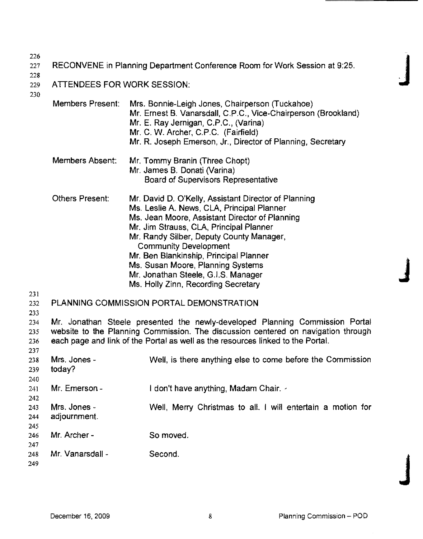226<br>227 RECONVENE in Planning Department Conference Room for Work Session at 9:25.<br>228 ATTENDEES FOR WORK SESSION:

228

ATTENDEES FOR WORK SESSION: 230 Members Present: Mrs. Bonnie.Leigh Jones, Chairperson (Tuckahoe) Mr. Ernest B. Vanarsdall, C.P.C., Vice-Chairperson (Brookland) Mr. E. Ray Jernigan, C.P.C., (Varina) Mr. C. W. Archer, C.P.C. (Fairfield) Mr. R. Joseph Emerson, Jr., Director of Planning, Secretary Members Absent: Mr. Tommy Branin (Three Chopt) Mr. James B. Donati (Varina) Board of Supervisors Representative Others Present: Mr. David D. O'Kelly, Assistant Director of Planning Ms. Leslie A. News, CLA, Principal Planner Ms. Jean Moore, Assistant Director of Planning Mr. Jim Strauss, CLA, Principal Planner Mr. Randy Silber, Deputy County Manager, Community Development Mr. Ben Blankinship, Principal Planner Mr. Berr Blankmanip, Fillicipal Planner<br>Ms. Susan Moore, Planning Systems<br>Mr. Jonathan Steele, G.I.S. Manager<br>Ms. Holly Zinn, Recording Secretary 231 232 PLANNING COMMISSION PORTAL DEMONSTRATION 233 234 Mr. Jonathan Steele presented the newly-developed Planning Commission Portal 235 website to the Planning Commission. The discussion centered on navigation through 236 each page and link of the Portal as well as the resources linked to the Portal. 237 238 Mrs. Jones - Well, is there anything else to come before the Commission 239 today? 240 241 Mr. Emerson - I don't have anything, Madam Chair. -242 243 Mrs. Jones - Well, Merry Christmas to all. I will entertain a motion for 244 adjournment. 245 246 Mr. Archer - So moved. 247 248 Mr. Vanarsdall - Second. 248 Mr. Vanarsdall - Second.<br>249<br>John Stein - Second - Second - Second - Second - Second - Second - Second - Second - Second - Second - Second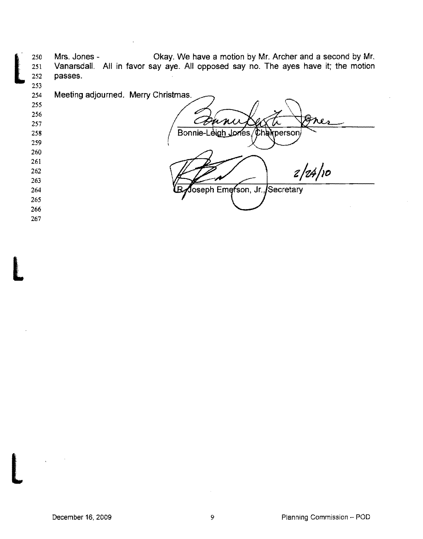$\begin{bmatrix} 2 \\ 2 \\ 2 \end{bmatrix}$ Mrs. Jones - Okay. We have a motion by Mr. Archer and a second by Mr. Vanarsdall. All in favor say aye. All opposed say no. The ayes have it; the motion passes. Meeting adjourned. Merry Christmas. Č  $\epsilon$ . Bonnie-Leigh Jones **Chakperson,** ā  $2/24/10$  Joseph Emerson, Jr., Secretary 

**Little Construction** 

L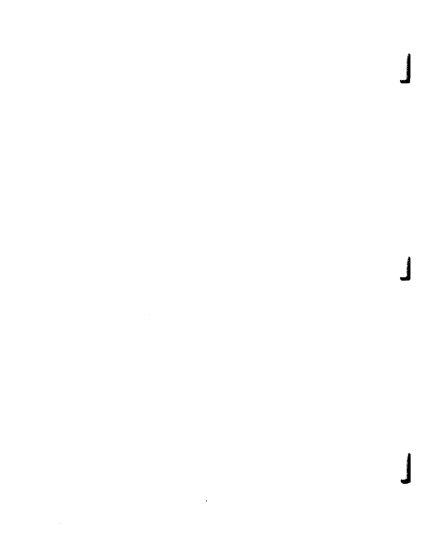**John Communication** 

January 1980

**John Communistic Communistic Communistic Communistic Communistic Communistic Communistic Communistic Communistic Communistic Communistic Communistic Communistic Communistic Communistic Communistic Communistic Communistic** 

 $\label{eq:2.1} \frac{1}{\sqrt{2}}\int_{\mathbb{R}^3}\frac{1}{\sqrt{2}}\left(\frac{1}{\sqrt{2}}\right)^2\frac{1}{\sqrt{2}}\left(\frac{1}{\sqrt{2}}\right)^2\frac{1}{\sqrt{2}}\left(\frac{1}{\sqrt{2}}\right)^2\frac{1}{\sqrt{2}}\left(\frac{1}{\sqrt{2}}\right)^2\frac{1}{\sqrt{2}}\left(\frac{1}{\sqrt{2}}\right)^2\frac{1}{\sqrt{2}}\frac{1}{\sqrt{2}}\frac{1}{\sqrt{2}}\frac{1}{\sqrt{2}}\frac{1}{\sqrt{2}}\frac{1}{\sqrt{2}}$ 

 $\mathcal{L}^{\text{max}}_{\text{max}}$  and  $\mathcal{L}^{\text{max}}_{\text{max}}$ 

 $\mathcal{L}^{\text{max}}_{\text{max}}$  and  $\mathcal{L}^{\text{max}}_{\text{max}}$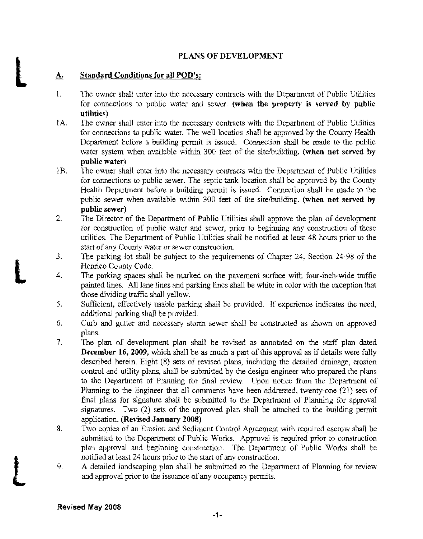### A. Standard Conditions for all POD's:

- PLANS OF DEVELOPMENT<br> **A.** Standard Conditions for all POD's:<br>
<sup>1</sup> The owner shall enter into the necessary contracts with the Der 1. The owner shall enter into the necessary contracts with the Department of Public Utilities for connections to public water and sewer. (when the property is served by public utilities)
	- 1A. The owner shall enter into the necessary contracts with the Department of Public Utilities for connections to public water. The well location shall be approved by the County Health Department before a building permit is issued. Connection shall be made to the public water system when available within 300 feet of the site/building. (when not served by public water)
	- 1B. The owner shall enter into the necessary contracts with the Department of Public Utilities for connections to public sewer. The septic tank location shall be approved by the County Health Department before a building permit is issued. Connection shall be made to the public sewer when available within 300 feet of the site/building. (when not served by public sewer)
	- 2. The Director of the Department of Public Utilities shall approve the plan of development for construction of public water and sewer, prior to beginning any construction of these utilities. The Department of Public Utilities shall be notified at least 48 hours prior to the start of any County water or sewer construction.
	- 3. The parking lot shall be subject to the requirements of Chapter 24, Section 24-98 of the Henrico County Code.
	- 4. The parking spaces shall be marked on the pavement surfaee with four·inch-wide traffic painted lines. All lane lines and parking lines shall be white in color with the exception that those dividing traffic shall yellow.
	- 5. Sufficient, effectively usable parking shall be provided. If experience indicates the need, additional parking shall be provided.
	- 6. Curb and gutter and necessary storm sewer shall be constructed as shown on approved plans.
	- 7. The plan of development plan shall be revised as annotated on the staff plan dated December 16, 2009, which shall be as much a part of this approval as if details were fully described herein. Eight (8) sets of revised plans, including the detailed drainage, erosion control and utility plans, shall be submitted by the design engineer who prepared the plans to the Department of Planning for final review. Upon notice from the Department of Planning to the Engineer that all comments have been addressed, twenty-one (21) sets of final plans for signature shall be submitted to the Department of Planning for approval signatures. Two (2) sets of the approved plan shall be attaehed to the building permit application. (Revised January 2008)
	- 8. Two copies of an Erosion and Sediment Control Agreement with required escrow shall be submitted to the Department of Public Works. Approval is required prior to construction plan approval and beginning construction. The Department of Public Works shall be notified at least 24 hours prior to the start of any construction.
	- 9. A detailed landscaping plan shall be submitted to the Department of Planning for review and approval prior to the issuance of any occupancy permits.

l

l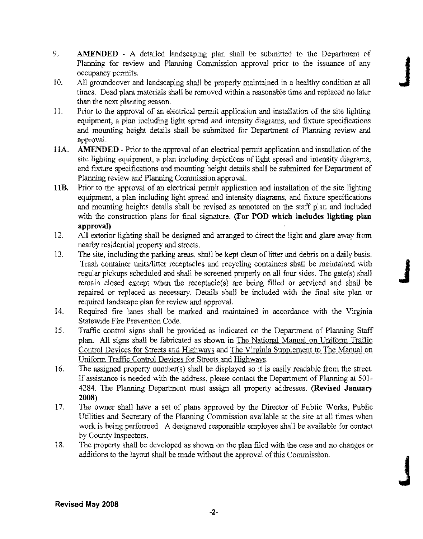- 9. **AMENDED**  A detailed landscaping plan shall be submitted to the Department of Planning for review and Planning Commission approval prior to the issuance of any
- occupancy permits.<br>10. All groundcover and landscaping shall be properly maintained in a healthy condition at all times. Dead plant materials shall be removed within a reasonable time and replaced no later than the next planting season.
- II. Prior to the approval of an electrical permit application and installation of the site lighting equipment, a plan including light spread and intensity diagrams, and fixture specifications and mounting height details shall be submitted for Department of Planning review and approval.
- **IIA. AMENDED** Prior to the approval of an electrical permit application and installation of the site lighting equipment, a plan including depictions of light spread and intensity diagrams, and fixture specifications and mounting height details shall be submitted for Department of Planning review and Planning Commission approval.
- UB. Prior to the approval of an electrical permit application and installation of the site lighting equipment, a plan including light spread and intensity diagrams, and fixture specifications and mounting heights details shall be revised as annotated on the staff plan and included with the construction plans for final signature. **(For POD which includes lighting plan approval)**
- 12. All exterior lighting shall be designed and arranged to direct the light and glare away from nearby residential property and streets.
- 13. The site, including the parking areas, shall be kept clean of litter and debris on a daily basis. Trash container unitsllitter receptacles and recycling containers shall be maintained with regular pickups scheduled and shall be screened properly on all four sides. The gate(s) shall remain closed except when the receptacle(s) are being filled or serviced and shall be repaired or replaced as necessary. Details shall be included with the final site plan or required landscape plan for review and approval.
- 14. Required fire lanes shall be marked and maintained in accordance with the Virginia Statewide Fire Prevention Code.
- 15. Traffic control signs shall be provided as indicated on the Department of Planning Staff plan. All signs shall be fabricated as shown in The National Manual on Uniform Traffic Control Devices for Streets and Highways and The Virginia Supplement to The Manual on Uniform Traffic Control Devices for Streets and Highways.
- 16. The assigned property number(s) shall be displayed so it is easily readable from the street. If assistance is needed with the address, please contact the Department of Planning at 501 4284. The Planning Department must assign all property addresses. **(Revised January 2008)**
- 17. The owner shall have a set of plans approved by the Director of Public Works, Public Utilities and Secretary of the Planning Commission available at the site at all times when work is being performed. A designated responsible employee shall be available for contact by County Inspectors.
- 18. The property shall be developed as shown on the plan filed with the case and no changes or additions to the layout shall be made without the approval of this Commission.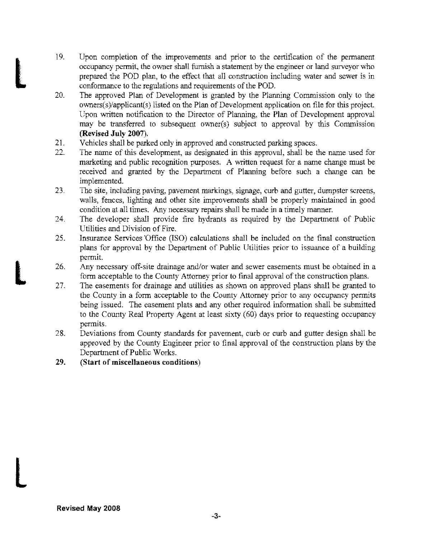- 19. Upon completion of the improvements and prior to the certification of the permanent occupancy permit, the owner shall furnish a statement by the engineer or land surveyor who prepared the POD plan, to the effect that a occupancy permit, the owner shall furnish a statement by the engineer or land surveyor who prepared the POD plan, to the effect that all construction including water and sewer is in conformance to the regulations and requirements of the POD.
- The approved Plan of Development is granted by the Planning Commission only to the owners(s)/applicant(s) listed on the Plan of Development application on file for this project. Upon written notification to the Director of Planning, the Plan of Development approval may be transferred to subsequent owner(s) subject to approval by this Commission (Revised july 2007).
- 21. Vehicles shall be parked only in approved and constructed parking spaces.
- 22. The name of this development, as designated in this approval, shall be the name used for marketing and public recognition purposes. A written request for a name change must be received and granted by the Department of Planning before such a change can be implemented.
- 23. The site, including paving, pavement markings, signage, curb and gutter, dumpster screens, walls, fences, lighting and other site improvements shall be properly maintained in good condition at all times. Any necessary repairs shall be made in a timely manner.
- 24. The developer shall provide fire hydrants as required by the Department of Public Utilities and Division of Fire.
- 25. Insurance Services 'Office (ISO) calculations shall be included on the final construction plans for approval by the Department of Public Utilities prior to issuance of a building permit.
- 26. Any necessary off-site drainage and/or water and sewer easements must be obtained in a form acceptable to the County Attorney prior to final approval of the construction plans.<br>27. The easements for drainage and utilit form acceptable to the County Attorney prior to final approval of the construction plans.
	- the County in a form acceptable to the County Attorney prior to any occupancy permits being issued. The easement plats and any other required information shall be submitted to the County Real Property Agent at least sixty (60) days prior to requesting occupancy permits.
	- 28. Deviations from County standards for pavement, curb or curb and gutter design shall be approved by the County Engineer prior to final approval of the construction plans by the Department of Public Works.
	- 29. (Start of miscellaneous conditions)

l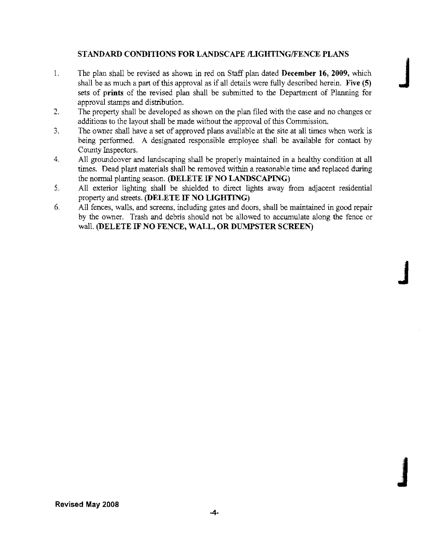### **STANDARD CONDITIONS FOR LANDSCAPE** *I***LIGHTING/FENCE PLANS**

- $1.$ The plan shall be revised as shown in red on Staff plan dated **December 16, 2009,** which Shall be revised as shown in red on Staff plan dated **December 16, 2009**, which shall be as much a part of this approval as if all details were fully described herein. **Five (5)** sets of prints of the revised plan shall be approval stamps and distribution.
- 2. The property shall be developed as shown on the plan filed with the case and no changes or additions to the layout shall be made without the approval of this Commission.
- 3. Ibe owner shall have a set of approved plans available at the site at all times when work is being performed. A designated responsible employee shall be available for contact by County Inspectors.
- 4. All groundcover and landscaping shall be properly maintained in a healthy condition at all times. Dead plant materials shall be removed within a reasonable time and replaced during the normal planting season. **(DELETE IF NO LANDSCAPING)**
- 5. All exterior lighting shall be shielded to direct lights away from adjacent residential property and streets. **(DELETE IF NO LIGHTING)**
- 6. All fences, walls, and sereens, including gates and doors, shall be maintained in good repair by the owner. Trash and debris should not be allowed to accumulate along the fence or wall. **(DELETE IF NO FENCE, WALL, OR DUMPSTER SCREEN)**

J

January 1995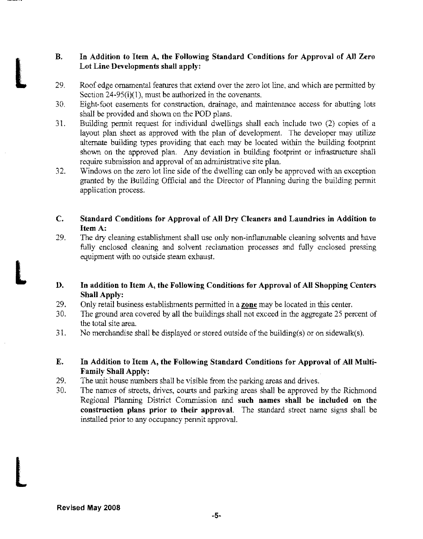### B. In Addition to Item A, the Following Standard Conditions for Approval of All Zero **Lot Line Developments shall apply:**

- 29. Roof edge ornamental features that extend over the zero lot line. and which are pennitted by Section  $24-95(i)(1)$ , must be authorized in the covenants.
- 30. Eight-foot easements for construction. drainage. and maintenance access for abutting lots shall be provided and shown on the POD plans.
- 31. Building pennit request for individual dwellings shall each include two (2) copies of a layout plan sheet as approved with the plan of development. The developer may utilize alternate building types providing that each may be located within the building footprint shown on the approved plan. Any deviation in building footprint or infrastructure shall require submission and approval of an administrative site plan.
- 32. Windows on the zero lot line side of the dwelling can only be approved with an exception granted by the Building Official and the Director of Planning during the building permit application process.

### C. **Standard Conditions for Approval of All Dry Cleaners and Laundries in Addition to**  Item A:

29. Ibe dry cleaning establishment shall use only non-inflammable cleaning solvents and have fully enclosed cleaning and solvent reclamation processes and fully enclosed pressing equipment with no outside steam exhaust.

## **D.** In addition to Item A, the Following Conditions for Approval of All Shopping Centers **Shall Apply:**

- 29. Only retail business establishments permitted in a zone may be located in this center.
- 30. The ground area covered by all the buildings shall not exceed in the aggregate 25 percent of the total site area.
- $31.$  No merchandise shall be displayed or stored outside of the building(s) or on sidewalk(s).

## **E. In Addition to Item A, the Following Standard Conditions for Approval of All Multi-Family Shall Apply:**

- 29. The unit house numbers shall be visible from the parking areas and drives.
- 30. The names of streets, drives, courts and parking areas shall be approved by the Richmond Regional Planning District Commission and **such names shall be included on tbe construction plans prior to their approval.** The standard street name signs shall be installed prior to any oecupaney pennit approval.

L

l

line and the control of the control of the control of the control of the control of the control of the control of the control of the control of the control of the control of the control of the control of the control of the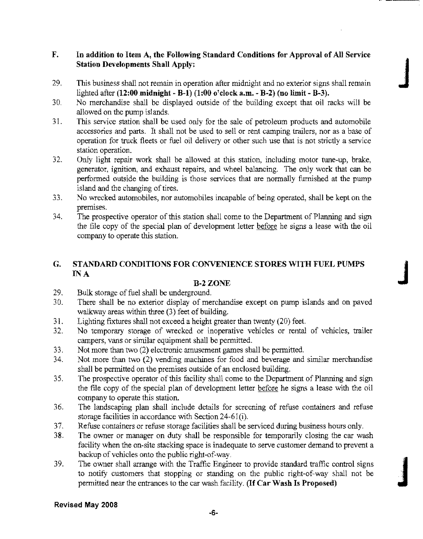### F. In addition to Item A, the Following Standard Conditions for Approval of All Service Station Developments Shall Apply:

- 29. This business shall not remain in operation after midnight and no exterior signs shall remain lighted after  $(12:00 \text{ midnight} - B-1)$   $(1:00 \text{ o}$ 'clock a.m.  $- B-2)$  (no limit  $- B-3$ ).
- 30. No merchandise shall be displayed outside of the building except that oil racks will be allowed on the pump islands.
- 31. This service station shall be used only for the sale of petroleum products and automobile accessories and parts. It shall not be used to sell or rent camping trailcrs, nor as a base of operation for truck fleets or fucl oil delivery or other such use that is not strictly a service station operation.
- 32, Only light repair work shall be allowed at this station, including motor tune-up, brake, generator, ignition, and exhaust repairs, and wheel balancing. The only work that can be performed outside the building is those services that are normally furnished at the pump island and the changing of tires.
- 33. No wrecked automobiles, nor automobiles incapable of being operated, shall be kept on the premises.
- 34. The prospective operator of this station shall come to the Department of Planning and sign the file copy of the special plan of development letter before he signs a lease with the oil company to operate this station.

# G. STANDARD CONDITIONS FOR CONVENIENCE STORES WITH FUEL PUMPS IN A<br>B-2 ZONE

- 29. Bulk storage of fuel shall be underground.
- 30. There shall be no exterior display of merchandise except on pump islands and on paved walkway areas within three (3) feet of building.
- 31. Lighting fixtures shall not exceed a height greater than twenty (20) feet.
- 32. No temporary storage of wrecked or inoperative vehicles or rental of vehicles, trailer campers, vans or similar equipment shall be permitted.
- 33. Not more than two (2) electronic amusement games shall be permitted.
- 34. Not more than two (2) vending machines for food and beverage and similar merchandise shall be permitted on the premises outside of an enclosed building.
- 35. The prospective operator of this facility shall come to the Department of Planning and sign the file copy of the special plan of development letter before he signs a lease with the oil company to operate this station.
- 36. The landscaping plan shall include details for screening of refuse containers and refuse storage facilities in accordance with Section  $24-61(i)$ .
- 37. Refuse containers or refuse storage facilities shall be serviced during business hours only.
- 38. The owner or manager on duty shall be responsible for temporarily closing the car wash facility when the on·site stacking space is inadequate to serve customer demand to prevent a backup of vehicles onto the public right-of-way.
- 39. The owner shall arrange with the Traffic Engineer to provide standard traffic control signs to notifY customers that stopping or standing on the public right-of-way shall not be backup of venicies onto the public right-of-way.<br>The owner shall arrange with the Traffic Engineer to provide standard traffic control signs<br>to notify customers that stopping or standing on the public right-of-way shall no

### Revised May 2008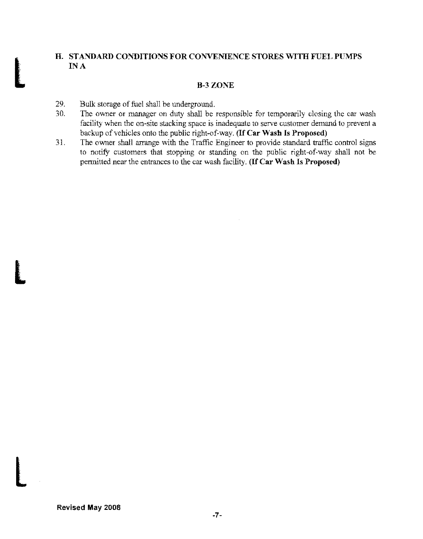## **H. STANDARD CONDITIONS FOR CONVENIENCE STORES WITH FUEL PUMPS INA**

### B-3 ZONE

29. Bulk storage of fuel shall be underground.

la de la propincia de la propincia de la propincia de la propincia de la propincia de la propincia de la propi<br>La propincia de la propincia de la propincia de la propincia de la propincia de la propincia de la propincia d

**Little Construction Construction Construction Construction Construction Construction Construction Construction** 

le de la completa de la completa de la completa de la completa de la completa de la completa de la completa d<br>La completa de la completa de la completa de la completa de la completa de la completa de la completa de la co

- 30. The owner or manager on duty shall be responsible for temporarily closing the car wash facility when the on-site stacking space is inadequate to serve customer demand to prevent a backup of vehicles onto the public right-of-way. **(If Car Wash Is Proposed)**
- 31. The owner shall arrange with the Traffic Engineer to provide standard traffic control signs to notify customers that stopping or standing on the public right-of-way shall not be permitted near the entrances to the car wash facility. **(If Car Wash Is Proposed)**

**Revised May 2008**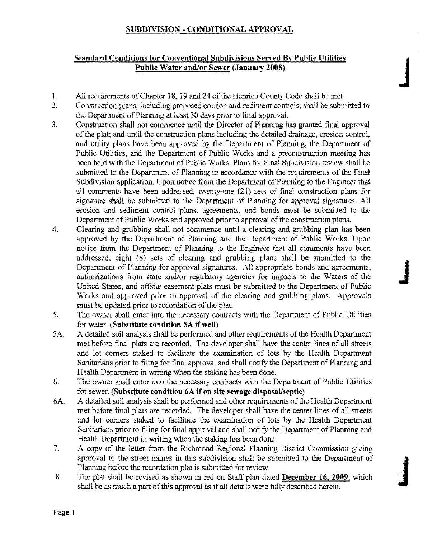## SUBDIVISION - CONDITIONAL APPROVAL

## Standard Conditions for Conventional Subdivisions Served By Public Utilities Public Water and/or Sewer (January 2008) By Public Utilities<br>
Separately<br>
Separately<br>
Separately<br>
Separately<br>
Separately<br>
Separately<br>
Separately<br>
Separately<br>
Separately<br>
Separately<br>
Separately<br>
Separately<br>
Separately<br>
Separately<br>
Separately<br>
Separately<br>
Separatel

- 1. All requirements of Chapter 18, 19 and 24 of the Henrico County Code shall be met.<br>2. Construction plans, including proposed erosion and sediment controls, shall be subm
- Construction plans, including proposed erosion and sediment controls, shall be submitted to the Department of Planning at least 30 days prior to final approval.
- 3. Construction shall not commence until the Director of Planning has granted final approval of the plat; and until the construction plans including the detailed drainage, erosion control, and utility plans have been approved by the Department of Planning, the Department of Public Utilities, and the Department of Public Works and a preconstruction meeting has been held with the Department of Public Works. Plans for Final Subdivision review shall be submitted to the Department of Planning in accordance with the requirements of the Final Subdivision application. Upon notice from the Department of Planning to the Engineer that all comments have been addressed, twenty-one (21) sets of final construction plans for signature shall be submitted to the Department of Planning for approval signatures, All erosion and sediment control plans, agreements, and bonds must be submitted to the Department of Public Works and approved prior to approval of the construction plans.
- 4. Clearing and grubbing shall not commence until a clearing and grubbing plan has been approved by the Department of Planning and the Department of Public Works, Upon notice from the Department of Planning to the Engineer that all comments have been addressed, eight (8) sets of clearing and grubbing plans shall be submitted to the<br>Department of Planning for approval signatures. All appropriate bonds and agreements,<br>authorizations from state and/or regulatory agencies United States, and offsite easement plats must be submitted to the Department of Public Works and approved prior to approval of the clearing and grubbing plans. Approvals must be updated prior to recordation of the plat.
- 5. The owner shall enter into the necessary contracts with the Department of Public Utilities for water. (Substitute condition SA if well)
- 5A. A detailed soil analysis shall be perfonned and other requirements of the Health Department met before fmal plats are recorded. The developer shall have the center lines of all streets and lot corners staked to facilitate the examination of lots by the Health Department Sanitarians prior to filing for final approval and shall notify the Department of Planning and Health Department in writing when the staking has been done.
- 6. The owner shall cnter into the necessary contracts with the Department of Public Utilities for sewer, (Substitute condition 6A if on site sewage disposal/septic)
- 6A. A detailed soil analysis shall be performed and other requirements of the Health Department met before final plats are recorded, The developer shall have the center lines of all streets and lot corners staked to facilitate the examination of lots by the Health Department Sanitarians prior to filing for final approval and shall notify the Department of Planning and Health Department in writing when the staking has been done.
- 7. A copy of the letter from the Richmond Regional Planning District Commission giving approval t to "the thstreet names in thli~ subdivision" shall be submitted to the Department of J... Planning before the recordation plat is submitted for review.
- 8. The plat shall be revised as shown in red on Staff plan dated December 16, 2009, which shall be as much a part of this approval as if all details were fully described herein.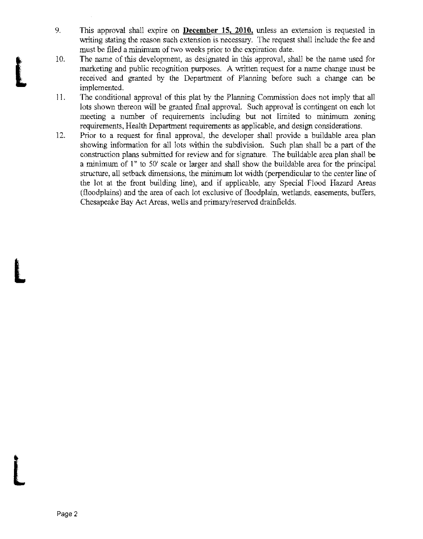- 9. This approval shall expire on **December 15, 2010**, unless an extension is requested in writing stating the reason such extension is necessary. The request shall include the fee and must be filed a minimum of two weeks prior to the expiration date.
- 10. The name of this development, as designated in this approval, shall be the name used for marketing and public recognition purposes. A written request for a name change must be received and granted by the Department of Planning before sueh a change can be implemented.
- II. The eonditional approval of this plat by the Planning Commission does not imply that all lots shown thereon will be granted fmal approval. Such approval is contingent on each lot meeting a number of requirements including but not limited to minimum zoning requirements, Health Department requirements as applicable, and design considerations.
- 12. Prior to a request for final approval, the developer shall provide a buildable area plan showing information for all lots within the subdivision. Such plan shall be a part of the construction plans submitted for review and for signature. The buildable area plan shall be a minimum of 1" to 50' scale or larger and shall show the buildable area for the principal structure, all setback dimensions, the minimum lot width (perpendicular to the center line of the lot at the front building line), and if applicable, any Special Flood Hazard Areas (floodplains) and the area of each lot exclusive of floodplain, wetlands, easements, buffers, Chesapeake Bay Act Areas. wells and primary/reserved drainfields.

line of the company of the company of the company of the company of the company of the company of the company of the company of the company of the company of the company of the company of the company of the company of the

l

**Little Construction**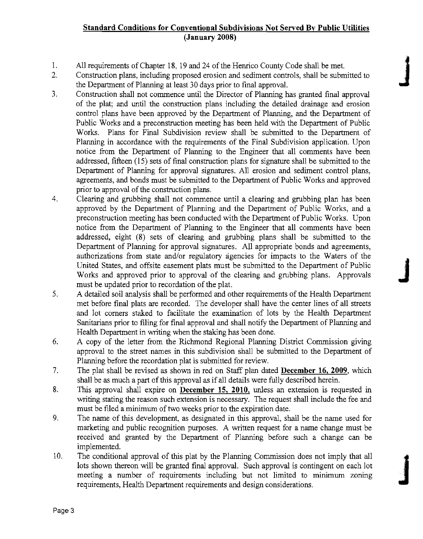### **Standard Conditions for Conventional Subdivisions Not Served Bv Public Utilities (January 2008)**

- 1. **All** requirements of Chapter 18, 19 and 24 of the Henrico County Code shall be met.
- 2. Construction plans, including proposed erosion and sediment controls, shall be submitted to All requirements of Chapter 18, 19 and 24 of the Henrico County Code shall be met.<br>Construction plans, including proposed erosion and sediment controls, shall be submitted to<br>the Department of Planning at least 30 days pri
- 3. Construction shall not commence until the Director of Planning has granted final approval of the plat; and until the construction plans including the detailed drainage and erosion control plans have been approved by the Department of Planning, and the Department of Public Works and a preconstruction meeting has been held with the Department of Public Works. Plans for Final Subdivision review shall be submitted to the Department of Planning in accordance with the requirements of the Final Subdivision application. Upon notice from the Department of Planning to the Engineer that all comments have been addressed, fifteen (15) sets of final construction plans for signature shall be submitted to the Department of Planning for approval signatures. All erosion and sediment control plans, agreements, and bonds must be submitted to the Department of Public Works and approved prior to approval of the construction plans.
- 4. Clearing and grubbing shall not commence until a clearing and grubbing plan has been approved by the Department of Planning and the Department of Public Works, and a preconstruction meeting has been conducted with the Department of Public Works. Upon notice from the Department of Planning to the Engineer that all comments have been addressed, eight (8) sets of clearing and grubbing plans shall be submitted to the Department of Planning for approval signatures. All appropriate bonds and agreements, authorizations from state and/or regulatory agencies for impacts to the Waters of the United States, and offsite easement plats must be submitted to the Department of Public Works and approved prior to approval of must be updated prior to recordation of the plat. A agencies for impacts to the waters of the<br>the clearing and grubbing plans. Approvals<br>Jat.
- 5. A detailed soil analysis shall be performed and other requirements of the Health Department met before final plats are recorded. The developer shall have the center lines of all streets and lot comers staked to facilitate the examination of lots by the Health Department Sanitarians prior to filing for final approval and shall notify the Department of Planning and Health Department in writing when the staking has been done.
- 6. A copy of the letter from the Richmond Regional Planning District Commission giving approval to the street names in this subdivision shall be submitted to the Department of Planning before the recordation plat is submitted for review.
- 7. The plat shall be revised as shown in red on Staff plan dated **December 16, 2009,** which shall be as much a part of this approval as if all details were fully described herein.
- 8. This approval shall expire on **December 15, 2010,** unless an extension is requested in writing stating the reason such extension is necessary. The request shall include the fee and must be filed a minimum of two weeks prior to the expiration date.
- 9. The name of this development, as designated in this approval, shall be the name used for marketing and public recognition purposes. A written request for a name change must be received and granted by the Department of Planning before such a change can be implemented.
- 10. The conditional approval of this plat by the Planning Commission does not imply that all lots shown thereon will be granted final approval. Such approval is contingent on each lot meeting a number of requirements inclu lots shown thereon will be granted final approval. Such approval is contingent on each lot requirements, Health Department requirements and design considerations. meeting a number of requirements including but not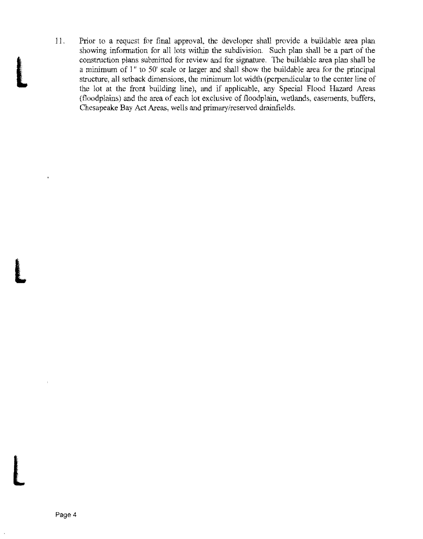11. Prior to a request for final approval, the developer shall provide a buildable area plan showing infonnation for all lots within the subdivision. Such plan shall be a part of the construction plans submitted for review and for signature. The buildable area plan shall be Exercise on the summultiputed of the term and its signature. The buildable area for the principal structure, all setback dimensions, the minimum lot width (perpendicular to the center line of the lot at the front building structure, all setback dimensions, the minimum lot width (perpendicular to the center line of the lot at the front building line), and if applicable, any Special Flood Hazard Areas (floodplains) and the area of each lot exclusive of floodplain, wetlands, easements, buffers, Chesapeake Bay Act Areas, wells and primary/reserved drainfields.

l

l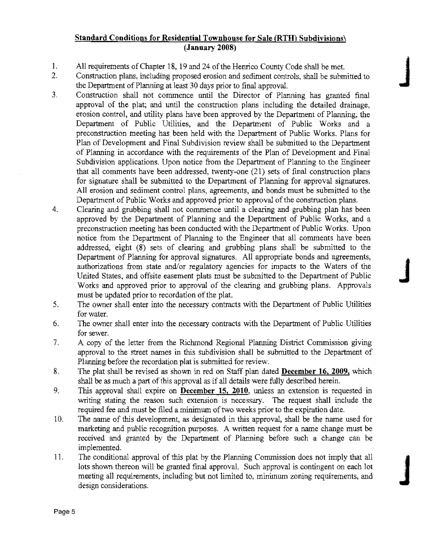### Standard Conditions for Residential Townhouse for Sale (RTH) Subdivisions\ **(January 2008)**

- 1. All requirements of Chapter 18, 19 and 24 of the Henrico County Code shall be met.
- 2. the Department of Planning at least 30 days prior to final approval. Construction plans, including proposed erosion and sediment nty Code shall be met.<br>controls, shall be submitted to oval.
- 3. Construction shall not commence until the Director of Planning has granted final approval of the plat; and until the construction plans including the detailed drainage, erosion control, and utility plans have been approved by the Department of Planning, the Department of Public Utilities, and the Department of Public Works and a preconstruction meeting has been held with the Department of Public Works. Plans for Plan of Development and Final Subdivision review shall be submitted to the Department of Planning in accordance with the requirements of the Plan of Development and Final Subdivision applications. Upon notice from the Department of Planning to the Engineer that all comments have been addressed, twenty-one (21) sets of fmal construction plans for signature shall be submitted to the Department of Planning for approval signatures. All erosion and sediment control plans, agreements, and bonds must be submitted to the Department of Public Works and approved prior to approval of the construction plans.
- 4. Clearing and grubbing shall not commence until a clearing and grubbing plan has been approved by the Department of Planning and the Department of Public Works, and a preconstruction meeting has been conducted with the Department of Public Works. Upon notice from the Department of Planning to the Engineer that all comments have been addressed, eight (8) sets of clearing and grubbing plans shall be submitted to the Department of Planning for approval signatures. All appropriate bonds and agreements, authorizations from state and/or regulatory agencies for impacts to the Waters of the United States, and offsite easement plats must be submitted to the Department Works and approved prior to approval of the clearing and grubbing plans. Approvals reements,<br>rrs of the<br>of Public<br>Approvals must be updated prior to recordation of the plat.
- 5. The owner shall enter into the necessary contracts with the Department of Public Utilities for water.
- 6. The owner shall enter into the necessary contracts with the Department of Public Utilities for sewer.
- 7. A copy of the letter from the Richmond Regional Planning District Commission giving approval to the street names in this subdivision shall be submitted to the Department of Planning before the recordation plat is submitted for review.
- 8. The plat shall be revised as shown in red on Staff plan dated **December 16, 2009,** which shall be as much a part of this approval as if all details were fully described herein.
- 9. This approval shall expire on **December 15, 2010,** unless an extension is requested in writing stating the reason such extension is necessary. The request shall include the required fee and must be filed a minimum of two weeks prior to the expiration date.
- 10. The name of this development, as designated in this approval, shall be the name used for marketing and public recognition purposes. A written request for a name change must be received and granted by the Department of Planning before such a change can be implemented.
- 11. The conditional approval of this plat by the Planning Commission does not imply that all lots shown thereon will be granted final approval. Such approval is contingent on each lot meeting all requirements, including bu lots shown thereon will be granted fmal approval. Such approval is contingent on each lot meeting all requirements, including but not limited to, miminum zoning requirements, and design considerations.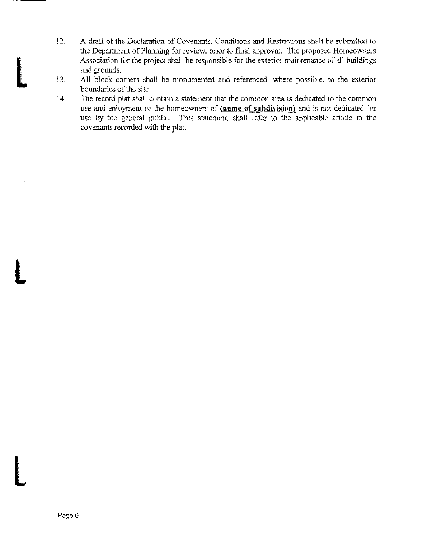- 12. A draft of the Declaration of Covenants, Conditions and Restrictions shall be submitted to the Department of Planning for review, prior to final approval. The proposed Homeowners Association for the project shall be responsible for the exterior maintenance of all buildings and grounds.
- 13. All block comers shall be monumented and referenced, where possible, to the exterior boundaries of the site
- 14. The record plat shall contain a statement that the common area is dedicated to the common use and enjoyment of the homeowners of **(name of subdivision)** and is not dedicated for use by the general public. This statement shall refer to the applicable article in the covenants recorded with the plat.

L

l

L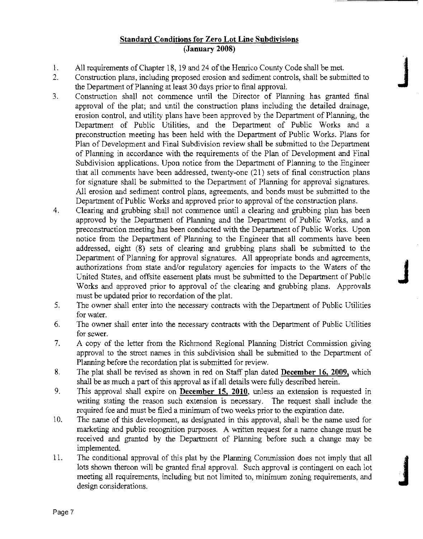### Standard Conditions for Zero Lot Line Subdivisions (January 2008)

- I. All requirements of Chapter 18, 19 and 24 of the Henrico County Code shall be met.<br>2. Construction plans, including proposed erosion and sediment controls, shall be subm
- Construction plans, including proposed erosion and sediment controls, shall be submitted to the Department of Planning at least 30 days prior to final approvaL
- 3. Construction shall not commence until the Director of Planning has granted final approval of the plat; and until the construction plans including the detailed drainage, erosion control, and utility plans have been approved by the Department of Planning, the Department of Public Utilities, and the Department of Public Works and a preconstruction meeting has been held \'vith the Department of Public Works. Plans for Plan of Development and Final Subdivision review shall be submitted to the Department of Planning in accordance with the requirements of the Plan of Development and Final Subdivision applications. Upon notice from the Department of Planning to the Engineer that all comments have been addressed, twenty-one (21) sets of final construction plans for signature shall be submitted to the Department of Planning for approval signatures. All erosion and sediment control plans, agreements, and bonds must be submitted to the Department of Public Works and approved prior to approval of the construction plans.
- 4. Clearing and grubbing shall not commence until a clearing and grubbing plan has been approved by the Department of Planning and the Department of Public Works, and a preconstruction meeting has been conducted with the Department of Public Works. Upon notice from the Department of Planning to the Engineer that all comments have been addressed, eight (8) sets of clearing and grubbing plans shall be submitted to the Department of Planning for approval signatures. All appropriate bonds and agreements, authorizations from state and/or regulatory agencies for impacts to the Waters of the United States, and offsite easement plats must be submitted to the Department of Public Works and approved prior to approval of the clearing and grubbing plans. Approvals must be updated prior to recordation of the plat.
- 5. The owner shall enter into the necessary contracts with the Department of Public Utilities for water.
- 6. The owner shall enter into the necessary contracts with the Department of Public Utilities for sewer.
- 7. A copy of the letter from the Richmond Regional Planning District Commission giving approval to the street names in this subdivision shall be submitted to the Department of Planning before the recordation plat is submitted for review.
- 8. The plat shall be revised as shown in red on Staff plan dated **December 16, 2009**, which shall be as much a part of this approval as if all details were fully described herein.
- 9. This approval shall expire on December 15, 2010, unless an extension is requested in writing stating the reason such extension is necessary. The request shall include the required fee and must be filed a minimum of two weeks prior to the expiration date.
- 10. The name of this development, as designated in this approval, shall be the name used for marketing and public recognition purposes. A written request for a name change must be received and granted by the Department of Planning before such a change may be implemented. 11. The conditional approval of this plat by the Planning before such a change must be<br>
implemented.<br>
11. The conditional approval of this plat by the Planning Commission does not imply that all<br>
11. Interval approval of t
- lots shown thereon will be granted final approval. Such approval is contingent on each lot meeting all requirements, including but not limited to, minimum zoning requirements, and design considerations.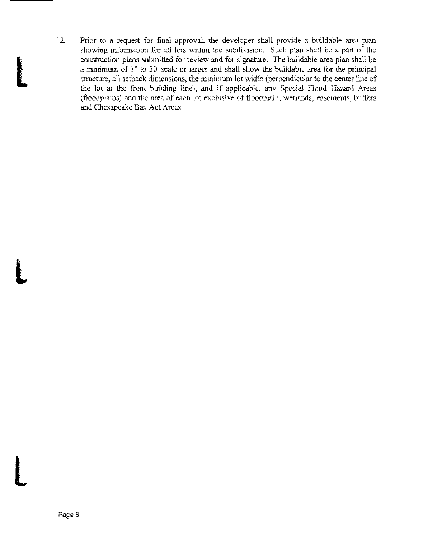12. Prior to a request for final approval, the developer shall provide a buildable area plan showing information for all lots within the subdivision. Such plan shall be a part of the construction plans submitted for review and for signature. The buildable area plan sball be a minimum of I" to 50' scale or larger and shall show the buildable area for the principal structure, all setback dimensions, the minimum lot width (perpendicular to the center line of the lot at the front building line), and if applicable, any Special Flood Hazard Areas (floodplains) and the area of each lot exclusive of floodplain, wetlands, easements, buffers and Chesapeake Bay Act Areas.

l

l

**Little Street, Case of the Company of the Company of the Company of the Company of the Company of the Company of the Company of the Company of the Company of the Company of the Company of the Company of the Company of the**